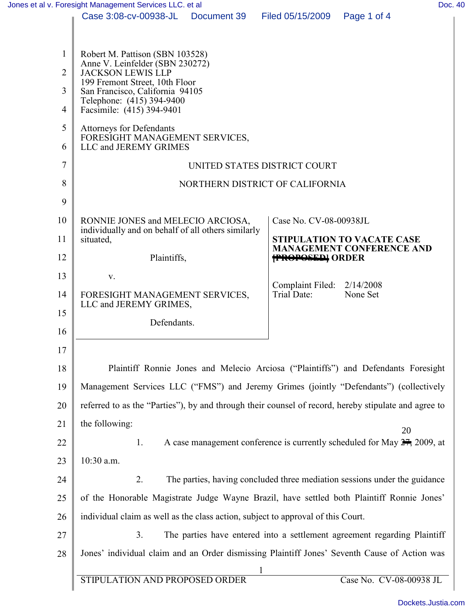|                | Jones et al v. Foresight Management Services LLC. et al                                              |                                                                                  |                                           |                                                                           | Doc. 40 |  |
|----------------|------------------------------------------------------------------------------------------------------|----------------------------------------------------------------------------------|-------------------------------------------|---------------------------------------------------------------------------|---------|--|
|                | Case 3:08-cv-00938-JL                                                                                | Document 39                                                                      | Filed 05/15/2009                          | Page 1 of 4                                                               |         |  |
|                |                                                                                                      |                                                                                  |                                           |                                                                           |         |  |
| 1              | Robert M. Pattison (SBN 103528)                                                                      |                                                                                  |                                           |                                                                           |         |  |
| $\overline{2}$ | Anne V. Leinfelder (SBN 230272)<br><b>JACKSON LEWIS LLP</b>                                          |                                                                                  |                                           |                                                                           |         |  |
| 3              | 199 Fremont Street, 10th Floor<br>San Francisco, California 94105                                    |                                                                                  |                                           |                                                                           |         |  |
| $\overline{4}$ | Telephone: (415) 394-9400<br>Facsimile: (415) 394-9401                                               |                                                                                  |                                           |                                                                           |         |  |
| 5              | <b>Attorneys for Defendants</b><br>FORESIGHT MANAGEMENT SERVICES,                                    |                                                                                  |                                           |                                                                           |         |  |
| 6              | LLC and JEREMY GRIMES                                                                                |                                                                                  |                                           |                                                                           |         |  |
| 7              | UNITED STATES DISTRICT COURT                                                                         |                                                                                  |                                           |                                                                           |         |  |
| 8              | NORTHERN DISTRICT OF CALIFORNIA                                                                      |                                                                                  |                                           |                                                                           |         |  |
| 9              |                                                                                                      |                                                                                  |                                           |                                                                           |         |  |
| 10             | RONNIE JONES and MELECIO ARCIOSA,                                                                    |                                                                                  | Case No. CV-08-00938JL                    |                                                                           |         |  |
| 11             | individually and on behalf of all others similarly<br>situated,                                      |                                                                                  |                                           | STIPULATION TO VACATE CASE                                                |         |  |
| 12             | Plaintiffs,                                                                                          |                                                                                  | <b>FROPOSED</b> ORDER                     | <b>MANAGEMENT CONFERENCE AND</b>                                          |         |  |
| 13             | V.                                                                                                   |                                                                                  |                                           |                                                                           |         |  |
| 14             | FORESIGHT MANAGEMENT SERVICES,                                                                       |                                                                                  | Complaint Filed: 2/14/2008<br>Trial Date: | None Set                                                                  |         |  |
| 15             | LLC and JEREMY GRIMES,<br>Defendants.                                                                |                                                                                  |                                           |                                                                           |         |  |
| 16             |                                                                                                      |                                                                                  |                                           |                                                                           |         |  |
| 17             |                                                                                                      |                                                                                  |                                           |                                                                           |         |  |
| 18             | Plaintiff Ronnie Jones and Melecio Arciosa ("Plaintiffs") and Defendants Foresight                   |                                                                                  |                                           |                                                                           |         |  |
| 19             | Management Services LLC ("FMS") and Jeremy Grimes (jointly "Defendants") (collectively               |                                                                                  |                                           |                                                                           |         |  |
| 20             | referred to as the "Parties"), by and through their counsel of record, hereby stipulate and agree to |                                                                                  |                                           |                                                                           |         |  |
| 21             | the following:                                                                                       |                                                                                  |                                           |                                                                           |         |  |
| 22             | 20<br>A case management conference is currently scheduled for May $27$ , 2009, at<br>1.              |                                                                                  |                                           |                                                                           |         |  |
| 23             | 10:30 a.m.                                                                                           |                                                                                  |                                           |                                                                           |         |  |
| 24             | 2.                                                                                                   |                                                                                  |                                           | The parties, having concluded three mediation sessions under the guidance |         |  |
| 25             | of the Honorable Magistrate Judge Wayne Brazil, have settled both Plaintiff Ronnie Jones'            |                                                                                  |                                           |                                                                           |         |  |
| 26             |                                                                                                      | individual claim as well as the class action, subject to approval of this Court. |                                           |                                                                           |         |  |
| 27             | 3 <sub>1</sub>                                                                                       | The parties have entered into a settlement agreement regarding Plaintiff         |                                           |                                                                           |         |  |
| 28             | Jones' individual claim and an Order dismissing Plaintiff Jones' Seventh Cause of Action was         |                                                                                  |                                           |                                                                           |         |  |
|                |                                                                                                      |                                                                                  |                                           |                                                                           |         |  |
|                | STIPULATION AND PROPOSED ORDER                                                                       |                                                                                  |                                           | Case No. CV-08-00938 JL                                                   |         |  |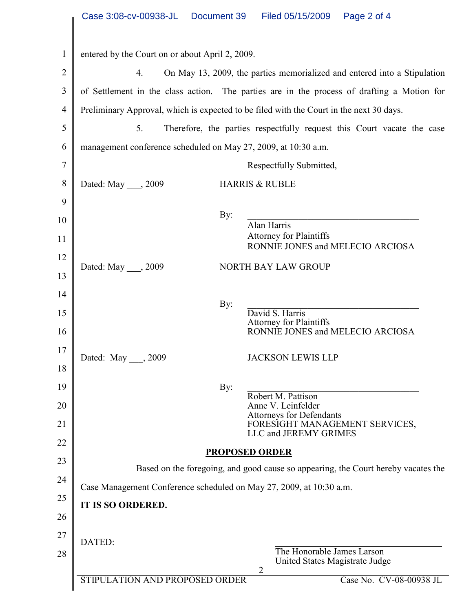|                | Case 3:08-cv-00938-JL<br>Document 39<br>Filed 05/15/2009<br>Page 2 of 4                                    |
|----------------|------------------------------------------------------------------------------------------------------------|
|                |                                                                                                            |
| $\mathbf{1}$   | entered by the Court on or about April 2, 2009.                                                            |
| $\overline{2}$ | On May 13, 2009, the parties memorialized and entered into a Stipulation<br>4.                             |
| 3              | of Settlement in the class action. The parties are in the process of drafting a Motion for                 |
| $\overline{4}$ | Preliminary Approval, which is expected to be filed with the Court in the next 30 days.                    |
| 5              | 5.<br>Therefore, the parties respectfully request this Court vacate the case                               |
| 6              | management conference scheduled on May 27, 2009, at 10:30 a.m.                                             |
| 7              | Respectfully Submitted,                                                                                    |
| 8              | Dated: May , 2009<br><b>HARRIS &amp; RUBLE</b>                                                             |
| 9              |                                                                                                            |
| 10             | By:<br>Alan Harris                                                                                         |
| 11             | <b>Attorney for Plaintiffs</b><br>RONNIE JONES and MELECIO ARCIOSA                                         |
| 12             | <b>NORTH BAY LAW GROUP</b><br>Dated: May ____, 2009                                                        |
| 13             |                                                                                                            |
| 14             | By:                                                                                                        |
| 15             | David S. Harris<br><b>Attorney for Plaintiffs</b>                                                          |
| 16             | RONNIE JONES and MELECIO ARCIOSA                                                                           |
| 17             | <b>JACKSON LEWIS LLP</b><br>Dated: May , 2009                                                              |
| 18             |                                                                                                            |
| 19             | By:<br>Robert M. Pattison                                                                                  |
| 20             | Anne V. Leinfelder                                                                                         |
| 21             | Attorneys for Defendants<br>FORESIGHT MANAGEMENT SERVICES,<br>LLC and JEREMY GRIMES                        |
| 22             |                                                                                                            |
| 23             | <b>PROPOSED ORDER</b><br>Based on the foregoing, and good cause so appearing, the Court hereby vacates the |
| 24             | Case Management Conference scheduled on May 27, 2009, at 10:30 a.m.                                        |
| 25             | <b>IT IS SO ORDERED.</b>                                                                                   |
| 26             |                                                                                                            |
| 27             |                                                                                                            |
| 28             | DATED:<br>The Honorable James Larson<br>United States Magistrate Judge                                     |
|                | 2<br>STIPULATION AND PROPOSED ORDER<br>Case No. CV-08-00938 JL                                             |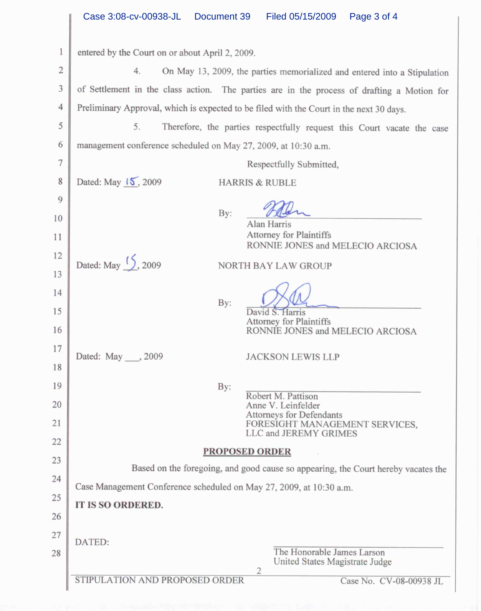|                | Case 3:08-cv-00938-JL<br>Document 39<br>Filed 05/15/2009<br>Page 3 of 4                    |  |  |  |
|----------------|--------------------------------------------------------------------------------------------|--|--|--|
| 1              | entered by the Court on or about April 2, 2009.                                            |  |  |  |
| $\overline{2}$ | 4.<br>On May 13, 2009, the parties memorialized and entered into a Stipulation             |  |  |  |
| 3              | of Settlement in the class action. The parties are in the process of drafting a Motion for |  |  |  |
| $\overline{4}$ | Preliminary Approval, which is expected to be filed with the Court in the next 30 days.    |  |  |  |
| 5              | 5.<br>Therefore, the parties respectfully request this Court vacate the case               |  |  |  |
| 6              | management conference scheduled on May 27, 2009, at 10:30 a.m.                             |  |  |  |
| $\overline{7}$ | Respectfully Submitted,                                                                    |  |  |  |
| 8              | Dated: May 15, 2009<br><b>HARRIS &amp; RUBLE</b>                                           |  |  |  |
| 9              |                                                                                            |  |  |  |
| 10             | By:<br>Alan Harris                                                                         |  |  |  |
| 11             | <b>Attorney for Plaintiffs</b><br>RONNIE JONES and MELECIO ARCIOSA                         |  |  |  |
| 12             | Dated: May $\frac{1}{2}$ , 2009<br>NORTH BAY LAW GROUP                                     |  |  |  |
| 13             |                                                                                            |  |  |  |
| 14             | By:                                                                                        |  |  |  |
| 15             | David S. Harris<br><b>Attorney for Plaintiffs</b>                                          |  |  |  |
| 16             | RONNIE JONES and MELECIO ARCIOSA                                                           |  |  |  |
| 17             | Dated: May ___, 2009<br><b>JACKSON LEWIS LLP</b>                                           |  |  |  |
| 18             |                                                                                            |  |  |  |
| 19             | By:<br>Robert M. Pattison                                                                  |  |  |  |
| 20             | Anne V. Leinfelder<br>Attorneys for Defendants                                             |  |  |  |
| 21             | FORESIGHT MANAGEMENT SERVICES,<br>LLC and JEREMY GRIMES                                    |  |  |  |
| 22             | <b>PROPOSED ORDER</b>                                                                      |  |  |  |
| 23             | Based on the foregoing, and good cause so appearing, the Court hereby vacates the          |  |  |  |
| 24             | Case Management Conference scheduled on May 27, 2009, at 10:30 a.m.                        |  |  |  |
| 25             | IT IS SO ORDERED.                                                                          |  |  |  |
| 26             |                                                                                            |  |  |  |
| 27             | DATED:<br>The Honorable James Larson                                                       |  |  |  |
| 28             | United States Magistrate Judge<br>$\overline{2}$                                           |  |  |  |
|                | STIPULATION AND PROPOSED ORDER<br>Case No. CV-08-00938 JL                                  |  |  |  |